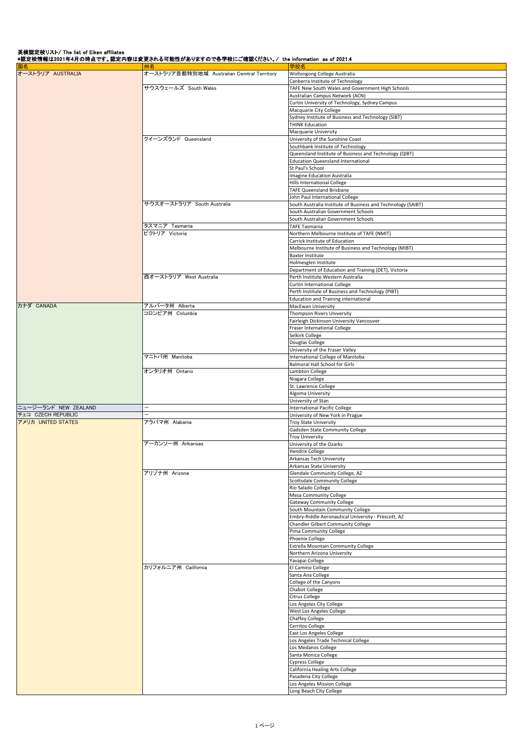英検認定校リスト/ The list of Eiken affiliates<br>\*認定校情報は2021年4月の時点です。認定内容は変更される可能性がありますので各学校にご確認ください。/ the information as of 2021.4

| 国名                   | 州名                                         | 学校名                                                          |
|----------------------|--------------------------------------------|--------------------------------------------------------------|
| オーストラリア AUSTRALIA    | オーストラリア首都特別地域 Australian Cemtral Territory | Wollongong College Australia                                 |
|                      |                                            |                                                              |
|                      |                                            | Canberra Institute of Technology                             |
|                      | サウスウェールズ South Wales                       | TAFE New South Wales and Government High Schools             |
|                      |                                            | Australian Campus Network (ACN)                              |
|                      |                                            | Curtin University of Technology, Sydney Campus               |
|                      |                                            | Macquarie City College                                       |
|                      |                                            | Sydney Institute of Business and Technology (SIBT)           |
|                      |                                            | <b>THINK Education</b>                                       |
|                      |                                            |                                                              |
|                      |                                            | Macquarie University                                         |
|                      | クイーンズランド Queensland                        | University of the Sunshine Coast                             |
|                      |                                            | Southbank Institute of Technology                            |
|                      |                                            | Queensland Institute of Business and Technology (QIBT)       |
|                      |                                            | <b>Education Queensland International</b>                    |
|                      |                                            | St Paul's School                                             |
|                      |                                            | <b>Imagine Education Australia</b>                           |
|                      |                                            | Hills International College                                  |
|                      |                                            |                                                              |
|                      |                                            | TAFE Queensland Brisbane                                     |
|                      |                                            | John Paul International College                              |
|                      | サウスオーストラリア South Australia                 | South Australia Institute of Business and Technology (SAIBT) |
|                      |                                            | South Australian Government Schools                          |
|                      |                                            | South Australian Government Schools                          |
|                      | タスマニア Tasmania                             | <b>TAFE Tasmania</b>                                         |
|                      | ビクトリア Victoria                             | Northern Melbourne Institute of TAFE (NMIT)                  |
|                      |                                            |                                                              |
|                      |                                            | Carrick Institute of Education                               |
|                      |                                            | Melbourne Institute of Business and Technology (MIBT)        |
|                      |                                            | Baxter Institute                                             |
|                      |                                            | Holmesglen Institute                                         |
|                      |                                            | Department of Education and Training (DET), Victoria         |
|                      | 西オーストラリア West Australia                    | Perth Institute Western Australia                            |
|                      |                                            | Curtin International College                                 |
|                      |                                            |                                                              |
|                      |                                            | Perth Institute of Business and Technology (PIBT)            |
|                      |                                            | <b>Education and Training international</b>                  |
| カナダ CANADA           | アルバータ州 Alberta                             | MacEwan University                                           |
|                      | コロンビア州 Columbia                            | Thompson Rivers University                                   |
|                      |                                            | Fairleigh Dickinson University Vancouver                     |
|                      |                                            |                                                              |
|                      |                                            | Fraser International College                                 |
|                      |                                            | Selkirk College                                              |
|                      |                                            | Douglas College                                              |
|                      |                                            | University of the Fraser Valley                              |
|                      | マニトバ州 Manitoba                             | International College of Manitoba                            |
|                      |                                            | Balmoral Hall School for Girls                               |
|                      | オンタリオ州 Ontario                             | Lambton College                                              |
|                      |                                            |                                                              |
|                      |                                            | Niagara College                                              |
|                      |                                            | St. Lawrence College                                         |
|                      |                                            | Algoma University                                            |
|                      |                                            | University of Stan                                           |
| ニュージーランド NEW ZEALAND | $\overline{\phantom{0}}$                   | <b>International Pacific College</b>                         |
| チェコ CZECH REPUBLIC   |                                            | University of New York in Prague                             |
| アメリカ UNITED STATES   | アラバマ州 Alabama                              | Troy State University                                        |
|                      |                                            | Gadsden State Community College                              |
|                      |                                            |                                                              |
|                      |                                            | <b>Troy University</b>                                       |
|                      | アーカンソー州 Arkansas                           | University of the Ozarks                                     |
|                      |                                            | <b>Hendrix College</b>                                       |
|                      |                                            | Arkansas Tech University                                     |
|                      |                                            | Arkansas State University                                    |
|                      | アリゾナ州 Arizona                              | Glendale Community College, AZ                               |
|                      |                                            | <b>Scottsdale Community College</b>                          |
|                      |                                            |                                                              |
|                      |                                            | Rio Salado College                                           |
|                      |                                            | Mesa Community College                                       |
|                      |                                            | <b>Gateway Community College</b>                             |
|                      |                                            | South Mountain Community College                             |
|                      |                                            | Embry-Riddle Aeronautical University - Prescott, AZ          |
|                      |                                            | Chandler Gilbert Community College                           |
|                      |                                            | Pima Community College                                       |
|                      |                                            | Phoenix College                                              |
|                      |                                            |                                                              |
|                      |                                            | Estrella Mountain Community College                          |
|                      |                                            | Northern Arizona University                                  |
|                      |                                            | Yavapai College                                              |
|                      | カリフォルニア州 California                        | El Camino College                                            |
|                      |                                            | Santa Ana College                                            |
|                      |                                            | College of the Canyons                                       |
|                      |                                            |                                                              |
|                      |                                            | Chabot College                                               |
|                      |                                            | Citrus College                                               |
|                      |                                            | Los Angeles City College                                     |
|                      |                                            | West Los Angeles College                                     |
|                      |                                            | Chaffey College                                              |
|                      |                                            |                                                              |
|                      |                                            | Cerritos College                                             |
|                      |                                            | East Los Angeles College                                     |
|                      |                                            | Los Angeles Trade Technical College                          |
|                      |                                            | Los Medanos College                                          |
|                      |                                            | Santa Monica College                                         |
|                      |                                            | Cypress College                                              |
|                      |                                            | California Healing Arts College                              |
|                      |                                            |                                                              |
|                      |                                            | Pasadena City College                                        |
|                      |                                            | Los Angeles Mission College                                  |
|                      |                                            | Long Beach City College                                      |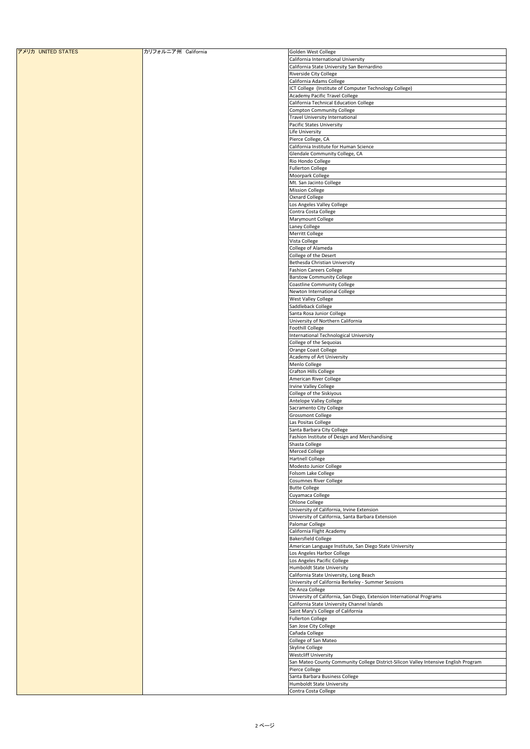| アメリカ UNITED STATES | カリフォルニア州 California | Golden West College                                                                  |
|--------------------|---------------------|--------------------------------------------------------------------------------------|
|                    |                     | California International University                                                  |
|                    |                     |                                                                                      |
|                    |                     | California State University San Bernardino                                           |
|                    |                     | Riverside City College                                                               |
|                    |                     | California Adams College                                                             |
|                    |                     | ICT College (Institute of Computer Technology College)                               |
|                    |                     | Academy Pacific Travel College                                                       |
|                    |                     | California Technical Education College                                               |
|                    |                     |                                                                                      |
|                    |                     | <b>Compton Community College</b>                                                     |
|                    |                     | <b>Travel University International</b>                                               |
|                    |                     | Pacific States University                                                            |
|                    |                     | Life University                                                                      |
|                    |                     | Pierce College, CA                                                                   |
|                    |                     |                                                                                      |
|                    |                     | California Institute for Human Science                                               |
|                    |                     | Glendale Community College, CA                                                       |
|                    |                     | Rio Hondo College                                                                    |
|                    |                     | <b>Fullerton College</b>                                                             |
|                    |                     | Moorpark College                                                                     |
|                    |                     |                                                                                      |
|                    |                     | Mt. San Jacinto College                                                              |
|                    |                     | <b>Mission College</b>                                                               |
|                    |                     | Oxnard College                                                                       |
|                    |                     | Los Angeles Valley College                                                           |
|                    |                     | Contra Costa College                                                                 |
|                    |                     |                                                                                      |
|                    |                     | Marymount College                                                                    |
|                    |                     | Laney College                                                                        |
|                    |                     | Merritt College                                                                      |
|                    |                     | Vista College                                                                        |
|                    |                     | College of Alameda                                                                   |
|                    |                     |                                                                                      |
|                    |                     | College of the Desert                                                                |
|                    |                     | Bethesda Christian University                                                        |
|                    |                     | <b>Fashion Careers College</b>                                                       |
|                    |                     | <b>Barstow Community College</b>                                                     |
|                    |                     | <b>Coastline Community College</b>                                                   |
|                    |                     |                                                                                      |
|                    |                     | Newton International College                                                         |
|                    |                     | West Valley College                                                                  |
|                    |                     | Saddleback College                                                                   |
|                    |                     | Santa Rosa Junior College                                                            |
|                    |                     | University of Northern California                                                    |
|                    |                     |                                                                                      |
|                    |                     | Foothill College                                                                     |
|                    |                     | International Technological University                                               |
|                    |                     | College of the Sequoias                                                              |
|                    |                     | Orange Coast College                                                                 |
|                    |                     |                                                                                      |
|                    |                     | Academy of Art University                                                            |
|                    |                     | Menlo College                                                                        |
|                    |                     | Crafton Hills College                                                                |
|                    |                     | American River College                                                               |
|                    |                     | <b>Irvine Valley College</b>                                                         |
|                    |                     | College of the Siskiyous                                                             |
|                    |                     |                                                                                      |
|                    |                     | Antelope Valley College                                                              |
|                    |                     | Sacramento City College                                                              |
|                    |                     | <b>Grossmont College</b>                                                             |
|                    |                     | Las Positas College                                                                  |
|                    |                     | Santa Barbara City College                                                           |
|                    |                     | Fashion Institute of Design and Merchandising                                        |
|                    |                     |                                                                                      |
|                    |                     | Shasta College                                                                       |
|                    |                     | Merced College                                                                       |
|                    |                     | <b>Hartnell College</b>                                                              |
|                    |                     | Modesto Junior College                                                               |
|                    |                     | Folsom Lake College                                                                  |
|                    |                     |                                                                                      |
|                    |                     | Cosumnes River College                                                               |
|                    |                     | <b>Butte College</b>                                                                 |
|                    |                     | Cuyamaca College                                                                     |
|                    |                     | Ohlone College                                                                       |
|                    |                     | University of California, Irvine Extension                                           |
|                    |                     | University of California, Santa Barbara Extension                                    |
|                    |                     |                                                                                      |
|                    |                     | Palomar College                                                                      |
|                    |                     | California Flight Academy                                                            |
|                    |                     | <b>Bakersfield College</b>                                                           |
|                    |                     | American Language Institute, San Diego State University                              |
|                    |                     | Los Angeles Harbor College                                                           |
|                    |                     | Los Angeles Pacific College                                                          |
|                    |                     |                                                                                      |
|                    |                     | Humboldt State University                                                            |
|                    |                     | California State University, Long Beach                                              |
|                    |                     | University of California Berkeley - Summer Sessions                                  |
|                    |                     | De Anza College                                                                      |
|                    |                     | University of California, San Diego, Extension International Programs                |
|                    |                     |                                                                                      |
|                    |                     | California State University Channel Islands                                          |
|                    |                     | Saint Mary's College of California                                                   |
|                    |                     | <b>Fullerton College</b>                                                             |
|                    |                     | San Jose City College                                                                |
|                    |                     | Cañada College                                                                       |
|                    |                     |                                                                                      |
|                    |                     | College of San Mateo                                                                 |
|                    |                     | Skyline College                                                                      |
|                    |                     | Westcliff University                                                                 |
|                    |                     | San Mateo County Community College District-Silicon Valley Intensive English Program |
|                    |                     |                                                                                      |
|                    |                     | Pierce College                                                                       |
|                    |                     | Santa Barbara Business College                                                       |
|                    |                     | <b>Humboldt State University</b>                                                     |
|                    |                     | Contra Costa College                                                                 |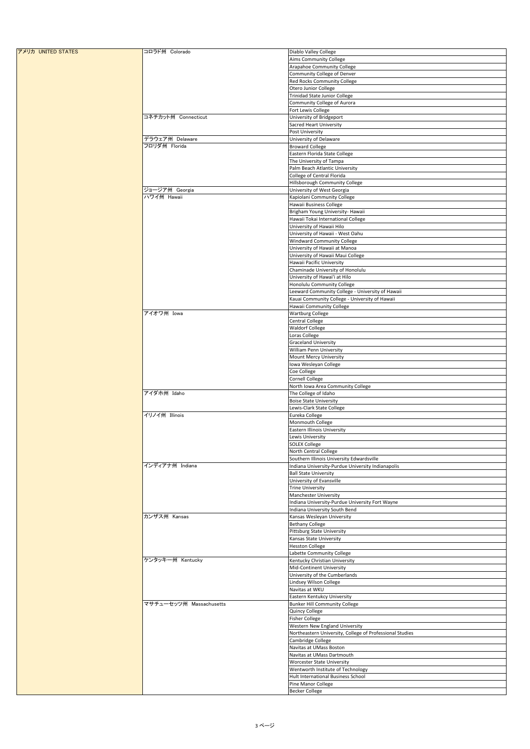| アメリカ UNITED STATES | コロラド州 Colorado          | Diablo Valley College                                       |
|--------------------|-------------------------|-------------------------------------------------------------|
|                    |                         | Aims Community College                                      |
|                    |                         | Arapahoe Community College                                  |
|                    |                         | Community College of Denver                                 |
|                    |                         | Red Rocks Community College                                 |
|                    |                         | Otero Junior College                                        |
|                    |                         | Trinidad State Junior College                               |
|                    |                         | Community College of Aurora                                 |
|                    |                         | Fort Lewis College                                          |
|                    | コネチカット州 Connecticut     | University of Bridgeport                                    |
|                    |                         | Sacred Heart University                                     |
|                    |                         | Post University                                             |
|                    | デラウェア州 Delaware         | University of Delaware                                      |
|                    | フロリダ州 Florida           | <b>Broward College</b>                                      |
|                    |                         | Eastern Florida State College                               |
|                    |                         | The University of Tampa                                     |
|                    |                         | Palm Beach Atlantic University                              |
|                    |                         | College of Central Florida                                  |
|                    |                         | Hillsborough Community College                              |
|                    | ジョージア州 Georgia          | University of West Georgia                                  |
|                    | ハワイ州 Hawaii             | Kapiolani Community College                                 |
|                    |                         | Hawaii Business College                                     |
|                    |                         | Brigham Young University- Hawaii                            |
|                    |                         | Hawaii Tokai International College                          |
|                    |                         | University of Hawaii Hilo                                   |
|                    |                         | University of Hawaii - West Oahu                            |
|                    |                         | Windward Community College<br>University of Hawaii at Manoa |
|                    |                         | University of Hawaii Maui College                           |
|                    |                         | Hawaii Pacific University                                   |
|                    |                         | Chaminade University of Honolulu                            |
|                    |                         | University of Hawai'i at Hilo                               |
|                    |                         | Honolulu Community College                                  |
|                    |                         | Leeward Community College - University of Hawaii            |
|                    |                         | Kauai Community College - University of Hawaii              |
|                    |                         | Hawaii Community College                                    |
|                    | アイオワ州 Iowa              | <b>Wartburg College</b>                                     |
|                    |                         | Central College                                             |
|                    |                         | <b>Waldorf College</b>                                      |
|                    |                         | Loras College                                               |
|                    |                         | <b>Graceland University</b>                                 |
|                    |                         | William Penn University                                     |
|                    |                         | Mount Mercy University                                      |
|                    |                         | Iowa Wesleyan College                                       |
|                    |                         | Coe College                                                 |
|                    |                         | Cornell College                                             |
|                    |                         | North Iowa Area Community College                           |
|                    | アイダホ州 Idaho             | The College of Idaho                                        |
|                    |                         | <b>Boise State University</b>                               |
|                    | イリノイ州 Illinois          | Lewis-Clark State College                                   |
|                    |                         | Eureka College                                              |
|                    |                         | Monmouth College<br><b>Eastern Illinois University</b>      |
|                    |                         | Lewis University                                            |
|                    |                         | <b>SOLEX College</b>                                        |
|                    |                         | North Central College                                       |
|                    |                         | Southern Illinois University Edwardsville                   |
|                    | インディアナ州 Indiana         | Indiana University-Purdue University Indianapolis           |
|                    |                         | <b>Ball State University</b>                                |
|                    |                         | University of Evansville                                    |
|                    |                         | <b>Trine University</b>                                     |
|                    |                         | Manchester University                                       |
|                    |                         | Indiana University-Purdue University Fort Wayne             |
|                    |                         | Indiana University South Bend                               |
|                    | カンザス州 Kansas            | Kansas Wesleyan University                                  |
|                    |                         | <b>Bethany College</b>                                      |
|                    |                         | Pittsburg State University                                  |
|                    |                         | Kansas State University                                     |
|                    |                         | <b>Hesston College</b>                                      |
|                    |                         | Labette Community College                                   |
|                    | ケンタッキー州 Kentucky        | Kentucky Christian University                               |
|                    |                         | Mid-Continent University                                    |
|                    |                         | University of the Cumberlands                               |
|                    |                         | Lindsey Wilson College<br>Navitas at WKU                    |
|                    |                         | Eastern Kentukcy University                                 |
|                    | マサチューセッツ州 Massachusetts | <b>Bunker Hill Community College</b>                        |
|                    |                         | Quincy College                                              |
|                    |                         | <b>Fisher College</b>                                       |
|                    |                         | Western New England University                              |
|                    |                         | Northeastern University, College of Professional Studies    |
|                    |                         | Cambridge College                                           |
|                    |                         | Navitas at UMass Boston                                     |
|                    |                         | Navitas at UMass Dartmouth                                  |
|                    |                         | Worcester State University                                  |
|                    |                         | Wentworth Institute of Technology                           |
|                    |                         | Hult International Business School                          |
|                    |                         | Pine Manor College                                          |
|                    |                         | <b>Becker College</b>                                       |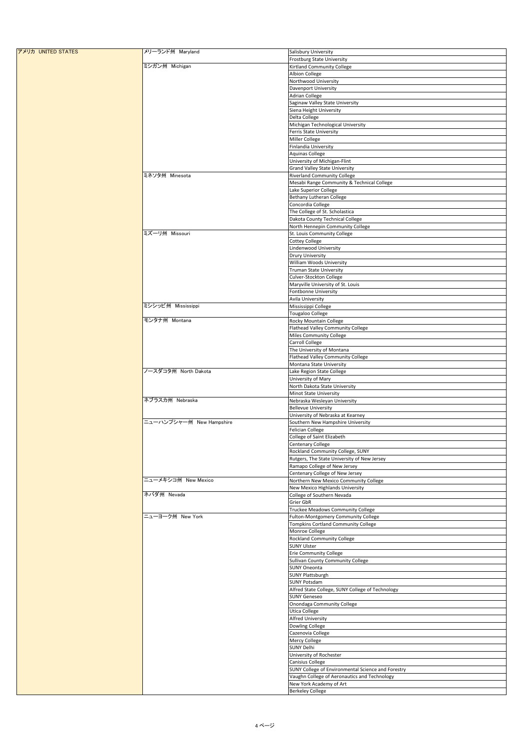| アメリカ UNITED STATES | メリーランド州 Maryland         | Salisbury University                               |
|--------------------|--------------------------|----------------------------------------------------|
|                    |                          | <b>Frostburg State University</b>                  |
|                    | ミシガン州 Michigan           | Kirtland Community College                         |
|                    |                          | Albion College                                     |
|                    |                          | Northwood University                               |
|                    |                          | Davenport University                               |
|                    |                          | <b>Adrian College</b>                              |
|                    |                          | Saginaw Valley State University                    |
|                    |                          | Siena Height University                            |
|                    |                          | Delta College                                      |
|                    |                          | Michigan Technological University                  |
|                    |                          | Ferris State University                            |
|                    |                          | Miller College                                     |
|                    |                          | Finlandia University                               |
|                    |                          | Aquinas College                                    |
|                    |                          | University of Michigan-Flint                       |
|                    |                          | <b>Grand Valley State University</b>               |
|                    | ミネソタ州 Minesota           | <b>Riverland Community College</b>                 |
|                    |                          | Mesabi Range Community & Technical College         |
|                    |                          | Lake Superior College                              |
|                    |                          | Bethany Lutheran College                           |
|                    |                          | Concordia College                                  |
|                    |                          | The College of St. Scholastica                     |
|                    |                          | Dakota County Technical College                    |
|                    |                          | North Hennepin Community College                   |
|                    | ミズーリ州 Missouri           | St. Louis Community College                        |
|                    |                          | <b>Cottey College</b>                              |
|                    |                          | Lindenwood University                              |
|                    |                          | <b>Drury University</b>                            |
|                    |                          | William Woods University                           |
|                    |                          | <b>Truman State University</b>                     |
|                    |                          | Culver-Stockton College                            |
|                    |                          | Maryville University of St. Louis                  |
|                    |                          | Fontbonne University                               |
|                    |                          | Avila University                                   |
|                    | ミシシッピ州 Mississippi       | Mississippi College                                |
|                    |                          | Tougaloo College                                   |
|                    | モンタナ州 Montana            | Rocky Mountain College                             |
|                    |                          | Flathead Valley Community College                  |
|                    |                          | Miles Community College                            |
|                    |                          | Carroll College                                    |
|                    |                          | The University of Montana                          |
|                    |                          | Flathead Valley Community College                  |
|                    |                          | Montana State University                           |
|                    | ノースダコタ州 North Dakota     | Lake Region State College                          |
|                    |                          | University of Mary                                 |
|                    |                          | North Dakota State University                      |
|                    |                          | Minot State University                             |
|                    | ネブラスカ州 Nebraska          | Nebraska Wesleyan University                       |
|                    |                          | <b>Bellevue University</b>                         |
|                    |                          | University of Nebraska at Kearney                  |
|                    | ニューハンプシャー州 New Hampshire | Southern New Hampshire University                  |
|                    |                          | Felician College                                   |
|                    |                          | College of Saint Elizabeth                         |
|                    |                          | <b>Centenary College</b>                           |
|                    |                          | Rockland Community College, SUNY                   |
|                    |                          | Rutgers, The State University of New Jersey        |
|                    |                          | Ramapo College of New Jersey                       |
|                    |                          | Centenary College of New Jersey                    |
|                    | ニューメキシコ州 New Mexico      | Northern New Mexico Community College              |
|                    |                          | New Mexico Highlands University                    |
|                    | ネバダ州 Nevada              | College of Southern Nevada                         |
|                    |                          | Grier GbR                                          |
|                    | ニューヨーク州 New York         | Truckee Meadows Community College                  |
|                    |                          | Fulton-Montgomery Community College                |
|                    |                          | Tompkins Cortland Community College                |
|                    |                          | Monroe College                                     |
|                    |                          | Rockland Community College                         |
|                    |                          | <b>SUNY Ulster</b>                                 |
|                    |                          | <b>Erie Community College</b>                      |
|                    |                          | Sullivan County Community College                  |
|                    |                          | <b>SUNY Oneonta</b>                                |
|                    |                          | SUNY Plattsburgh                                   |
|                    |                          | SUNY Potsdam                                       |
|                    |                          | Alfred State College, SUNY College of Technology   |
|                    |                          | <b>SUNY Geneseo</b>                                |
|                    |                          | Onondaga Community College                         |
|                    |                          | Utica College                                      |
|                    |                          | <b>Alfred University</b>                           |
|                    |                          | Dowling College                                    |
|                    |                          | Cazenovia College                                  |
|                    |                          | Mercy College                                      |
|                    |                          | SUNY Delhi                                         |
|                    |                          | University of Rochester                            |
|                    |                          | Canisius College                                   |
|                    |                          | SUNY College of Environmental Science and Forestry |
|                    |                          | Vaughn College of Aeronautics and Technology       |
|                    |                          | New York Academy of Art                            |
|                    |                          | <b>Berkeley College</b>                            |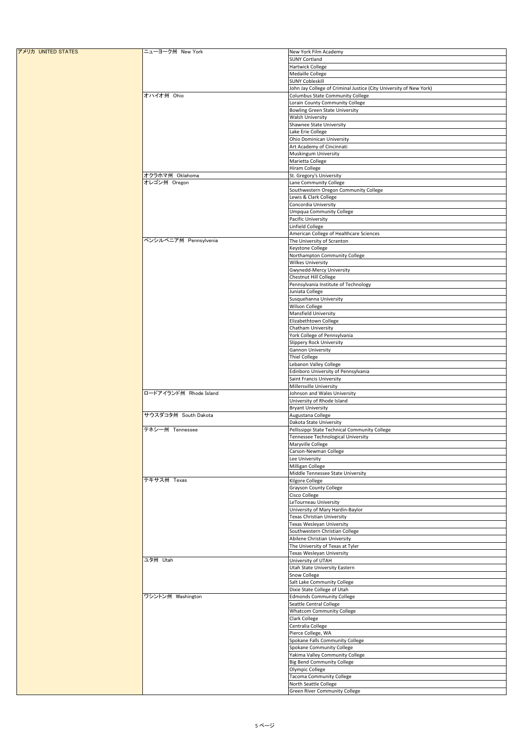| アメリカ UNITED STATES | ニューヨーク州 New York       | New York Film Academy                                              |
|--------------------|------------------------|--------------------------------------------------------------------|
|                    |                        | <b>SUNY Cortland</b>                                               |
|                    |                        | Hartwick College                                                   |
|                    |                        | Medaille College                                                   |
|                    |                        | <b>SUNY Cobleskill</b>                                             |
|                    |                        | John Jay College of Criminal Justice (City University of New York) |
|                    | オハイオ州 Ohio             | Columbus State Community College                                   |
|                    |                        | Lorain County Community College                                    |
|                    |                        | <b>Bowling Green State University</b>                              |
|                    |                        | Walsh University                                                   |
|                    |                        | Shawnee State University                                           |
|                    |                        | Lake Erie College                                                  |
|                    |                        | Ohio Dominican University                                          |
|                    |                        | Art Academy of Cincinnati                                          |
|                    |                        | Muskingum University                                               |
|                    |                        | Marietta College                                                   |
|                    |                        | Hiram College                                                      |
|                    | オクラホマ州 Oklahoma        | St. Gregory's University                                           |
|                    | オレゴン州 Oregon           | Lane Community College                                             |
|                    |                        | Southwestern Oregon Community College                              |
|                    |                        | Lewis & Clark College                                              |
|                    |                        | Concordia University                                               |
|                    |                        | <b>Umpqua Community College</b>                                    |
|                    |                        | Pacific University                                                 |
|                    |                        | Linfield College                                                   |
|                    |                        |                                                                    |
|                    | ペンシルベニア州 Pennsylvenia  | American College of Healthcare Sciences                            |
|                    |                        | The University of Scranton                                         |
|                    |                        | Keystone College                                                   |
|                    |                        | Northampton Community College                                      |
|                    |                        | <b>Wilkes University</b>                                           |
|                    |                        | Gwynedd-Mercy University                                           |
|                    |                        | Chestnut Hill College                                              |
|                    |                        | Pennsylvania Institute of Technology                               |
|                    |                        | Juniata College                                                    |
|                    |                        | Susquehanna University                                             |
|                    |                        | Wilson College                                                     |
|                    |                        | Mansfield University                                               |
|                    |                        | Elizabethtown College                                              |
|                    |                        | Chatham University                                                 |
|                    |                        | York College of Pennsylvania                                       |
|                    |                        | Slippery Rock University                                           |
|                    |                        | Gannon University                                                  |
|                    |                        | Thiel College                                                      |
|                    |                        | Lebanon Valley College                                             |
|                    |                        | Edinboro University of Pennsylvania                                |
|                    |                        | Saint Francis University                                           |
|                    |                        | Millersville University                                            |
|                    | ロードアイランド州 Rhode Island | Johnson and Wales University                                       |
|                    |                        | University of Rhode Island                                         |
|                    |                        | <b>Bryant University</b>                                           |
|                    | サウスダコタ州 South Dakota   | Augustana College                                                  |
|                    |                        | Dakota State University                                            |
|                    | テネシー州 Tennessee        | Pellissippi State Technical Community College                      |
|                    |                        | Tennessee Technological University                                 |
|                    |                        | Maryville College                                                  |
|                    |                        |                                                                    |
|                    |                        | Carson-Newman College                                              |
|                    |                        | Lee University                                                     |
|                    |                        | Milligan College                                                   |
|                    |                        | Middle Tennessee State University                                  |
|                    | テキサス州 Texas            | Kilgore College                                                    |
|                    |                        | <b>Grayson County College</b>                                      |
|                    |                        | Cisco College                                                      |
|                    |                        | LeTourneau University                                              |
|                    |                        | University of Mary Hardin-Baylor                                   |
|                    |                        | Texas Christian University                                         |
|                    |                        | Texas Wesleyan University                                          |
|                    |                        | Southwestern Christian College                                     |
|                    |                        | Abilene Christian University                                       |
|                    |                        | The University of Texas at Tyler                                   |
|                    |                        | Texas Wesleyan University                                          |
|                    | 그タ州 Utah               | University of UTAH                                                 |
|                    |                        | Utah State University Eastern                                      |
|                    |                        | Snow College                                                       |
|                    |                        | Salt Lake Community College                                        |
|                    |                        | Dixie State College of Utah                                        |
|                    | ワシントン州 Washington      | <b>Edmonds Community College</b>                                   |
|                    |                        |                                                                    |
|                    |                        | Seattle Central College                                            |
|                    |                        | <b>Whatcom Community College</b>                                   |
|                    |                        | Clark College                                                      |
|                    |                        | Centralia College                                                  |
|                    |                        | Pierce College, WA                                                 |
|                    |                        | Spokane Falls Community College                                    |
|                    |                        | Spokane Community College                                          |
|                    |                        | Yakima Valley Community College                                    |
|                    |                        | <b>Big Bend Community College</b>                                  |
|                    |                        | Olympic College                                                    |
|                    |                        | <b>Tacoma Community College</b>                                    |
|                    |                        | North Seattle College                                              |
|                    |                        | Green River Community College                                      |
|                    |                        |                                                                    |